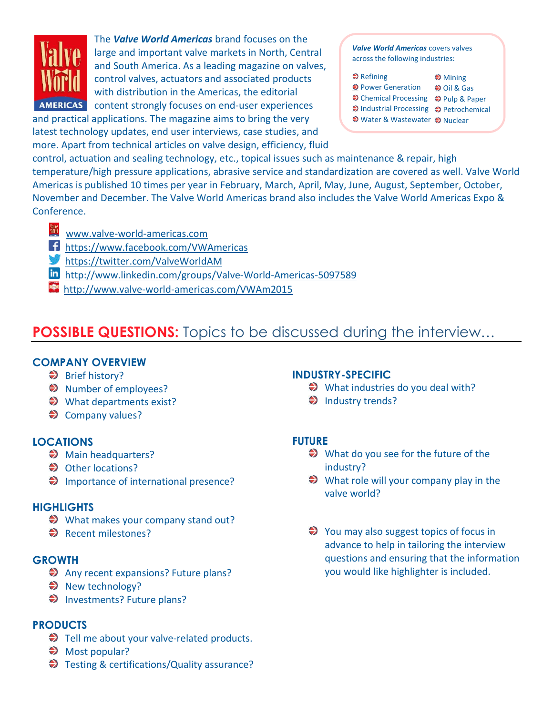

The *Valve World Americas* brand focuses on the large and important valve markets in North, Central and South America. As a leading magazine on valves, control valves, actuators and associated products with distribution in the Americas, the editorial AMERICAS content strongly focuses on end-user experiences and practical applications. The magazine aims to bring the very

latest technology updates, end user interviews, case studies, and more. Apart from technical articles on valve design, efficiency, fluid

*Valve World Americas* covers valves across the following industries:

| $\blacktriangleright$ Refining          | $\bigstar$ Mining    |
|-----------------------------------------|----------------------|
| ♦ Power Generation                      | $\bigcirc$ Oil & Gas |
| → Chemical Processing → Pulp & Paper    |                      |
| → Industrial Processing → Petrochemical |                      |
| ♦ Water & Wastewater ♦ Nuclear          |                      |

control, actuation and sealing technology, etc., topical issues such as maintenance & repair, high temperature/high pressure applications, abrasive service and standardization are covered as well. Valve World Americas is published 10 times per year in February, March, April, May, June, August, September, October, November and December. The Valve World Americas brand also includes the Valve World Americas Expo & Conference.

- [www.valve-world-americas.com](http://www.pumpengineer.net/)
- [https://www.facebook.com/VWAmericas](https://www.facebook.com/engineer.pump)
- [https://twitter.com/ValveWorldAM](https://twitter.com/Pump_Engr)
- [http://www.linkedin.com/groups/Valve-World-Americas-5097589](http://www.linkedin.com/groups/Pump-Engineer-Group-4337439)
- http://www.valve-world-americas.com/VWAm2015

# **POSSIBLE QUESTIONS:** Topics to be discussed during the interview...

### **COMPANY OVERVIEW**

- ♦ Brief history?
- **◆** Number of employees?
- **◆** What departments exist?
- **♦ Company values?**

## **LOCATIONS**

- $\blacklozenge$  Main headquarters?
- **◆** Other locations?
- $\bigcirc$  Importance of international presence?

### **HIGHLIGHTS**

- $\blacklozenge$  What makes your company stand out?
- Recent milestones?

### **GROWTH**

- Any recent expansions? Future plans?
- New technology?
- Investments? Future plans?

## **PRODUCTS**

- Tell me about your valve-related products.
- ◆ Most popular?
- Testing & certifications/Quality assurance?

## **INDUSTRY-SPECIFIC**

- $\blacklozenge$  What industries do you deal with?
- $\bigcirc$  Industry trends?

## **FUTURE**

- $\bigcirc$  What do you see for the future of the industry?
- $\bigotimes$  What role will your company play in the valve world?
- $\bigotimes$  You may also suggest topics of focus in advance to help in tailoring the interview questions and ensuring that the information you would like highlighter is included.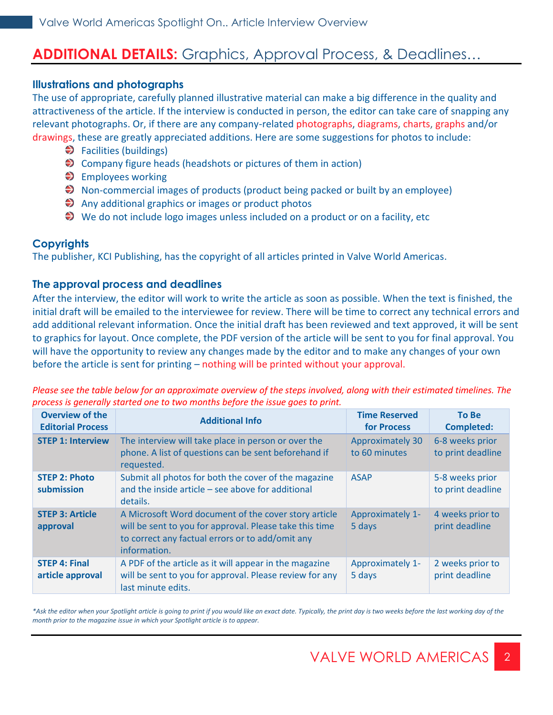## **ADDITIONAL DETAILS:** Graphics, Approval Process, & Deadlines…

#### **Illustrations and photographs**

The use of appropriate, carefully planned illustrative material can make a big difference in the quality and attractiveness of the article. If the interview is conducted in person, the editor can take care of snapping any relevant photographs. Or, if there are any company-related photographs, diagrams, charts, graphs and/or drawings, these are greatly appreciated additions. Here are some suggestions for photos to include:

- $\blacktriangleright$  Facilities (buildings)
- ◆ Company figure heads (headshots or pictures of them in action)
- $\blacktriangleright$  Employees working
- $\blacktriangleright$  Non-commercial images of products (product being packed or built by an employee)
- Any additional graphics or images or product photos
- $\blacktriangleright$  We do not include logo images unless included on a product or on a facility, etc

## **Copyrights**

The publisher, KCI Publishing, has the copyright of all articles printed in Valve World Americas.

#### **The approval process and deadlines**

After the interview, the editor will work to write the article as soon as possible. When the text is finished, the initial draft will be emailed to the interviewee for review. There will be time to correct any technical errors and add additional relevant information. Once the initial draft has been reviewed and text approved, it will be sent to graphics for layout. Once complete, the PDF version of the article will be sent to you for final approval. You will have the opportunity to review any changes made by the editor and to make any changes of your own before the article is sent for printing – nothing will be printed without your approval.

| <b>Overview of the</b><br><b>Editorial Process</b> | <b>Additional Info</b>                                                                                                                                                              | <b>Time Reserved</b><br>for Process      | <b>To Be</b><br><b>Completed:</b>    |
|----------------------------------------------------|-------------------------------------------------------------------------------------------------------------------------------------------------------------------------------------|------------------------------------------|--------------------------------------|
| <b>STEP 1: Interview</b>                           | The interview will take place in person or over the<br>phone. A list of questions can be sent beforehand if<br>requested.                                                           | <b>Approximately 30</b><br>to 60 minutes | 6-8 weeks prior<br>to print deadline |
| <b>STEP 2: Photo</b><br>submission                 | Submit all photos for both the cover of the magazine<br>and the inside article $-$ see above for additional<br>details.                                                             | <b>ASAP</b>                              | 5-8 weeks prior<br>to print deadline |
| <b>STEP 3: Article</b><br>approval                 | A Microsoft Word document of the cover story article<br>will be sent to you for approval. Please take this time<br>to correct any factual errors or to add/omit any<br>information. | Approximately 1-<br>5 days               | 4 weeks prior to<br>print deadline   |
| <b>STEP 4: Final</b><br>article approval           | A PDF of the article as it will appear in the magazine<br>will be sent to you for approval. Please review for any<br>last minute edits.                                             | Approximately 1-<br>5 days               | 2 weeks prior to<br>print deadline   |

*Please see the table below for an approximate overview of the steps involved, along with their estimated timelines. The process is generally started one to two months before the issue goes to print.* 

*\*Ask the editor when your Spotlight article is going to print if you would like an exact date. Typically, the print day is two weeks before the last working day of the month prior to the magazine issue in which your Spotlight article is to appear.*